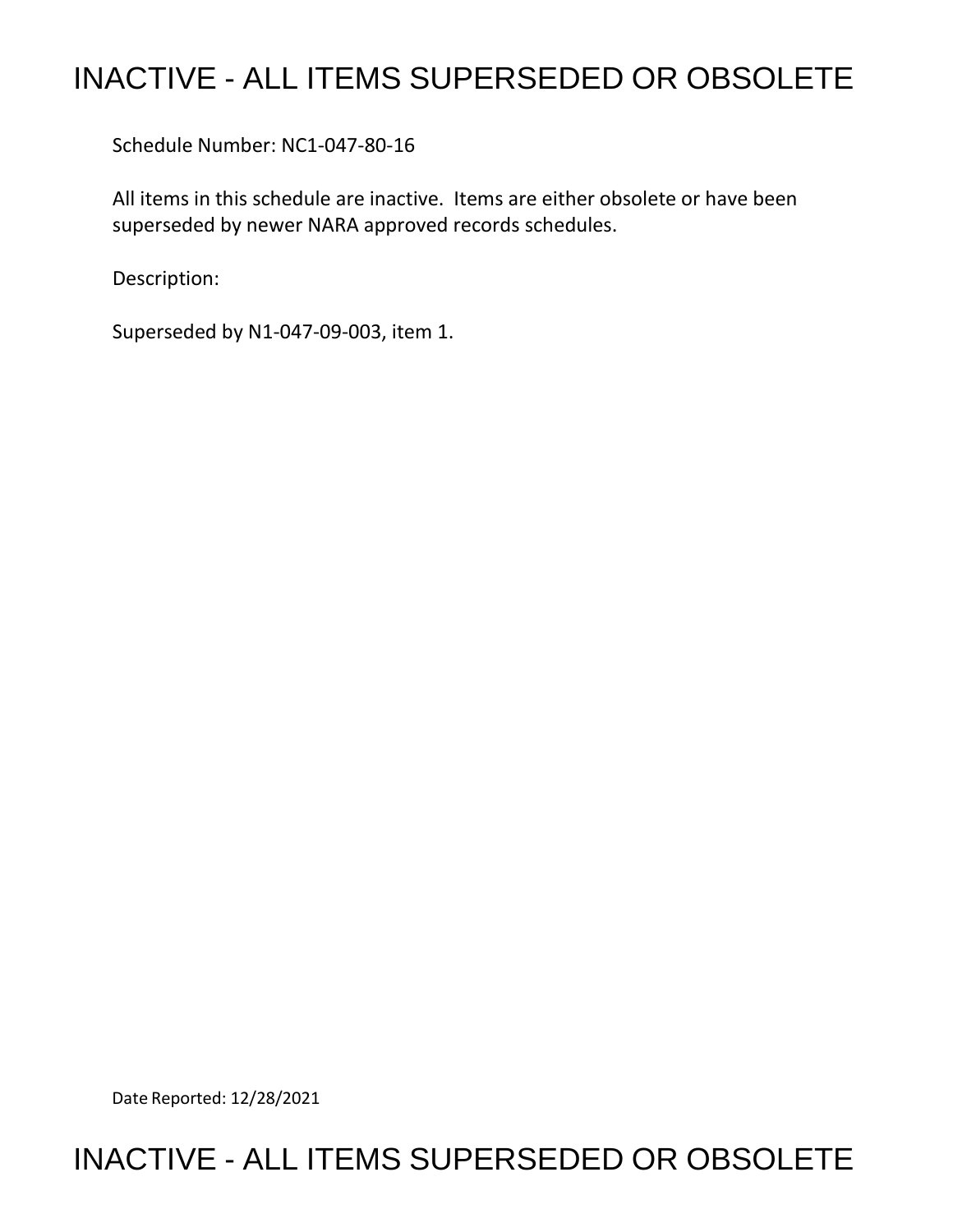# INACTIVE - ALL ITEMS SUPERSEDED OR OBSOLETE

Schedule Number: NC1-047-80-16

All items in this schedule are inactive. Items are either obsolete or have been superseded by newer NARA approved records schedules.

Description:

Superseded by N1-047-09-003, item 1.

Date Reported: 12/28/2021

## INACTIVE - ALL ITEMS SUPERSEDED OR OBSOLETE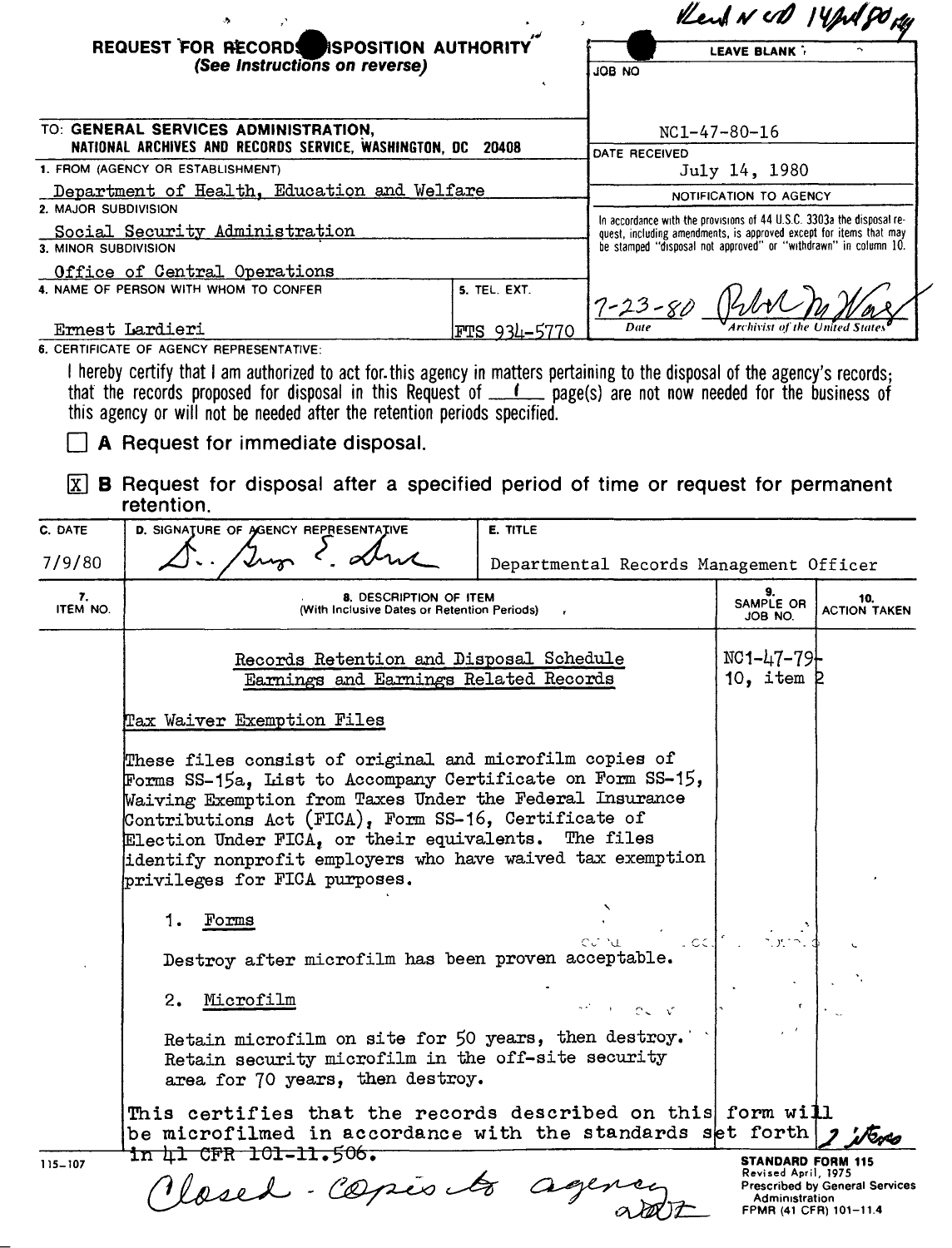|                                                                                                     | REQUEST FOR RECORDS<br><b>ISPOSITION AUTHORITY</b>                                                                                                                                                                                                                                                                                                                                               |                                         | Kent NUD 14pd 90 gg                                                                                                                                                                                            |                                                                                                                                                                                                                                  |                     |  |
|-----------------------------------------------------------------------------------------------------|--------------------------------------------------------------------------------------------------------------------------------------------------------------------------------------------------------------------------------------------------------------------------------------------------------------------------------------------------------------------------------------------------|-----------------------------------------|----------------------------------------------------------------------------------------------------------------------------------------------------------------------------------------------------------------|----------------------------------------------------------------------------------------------------------------------------------------------------------------------------------------------------------------------------------|---------------------|--|
|                                                                                                     | (See Instructions on reverse)                                                                                                                                                                                                                                                                                                                                                                    |                                         |                                                                                                                                                                                                                | <b>LEAVE BLANK</b><br>ON 80L                                                                                                                                                                                                     |                     |  |
|                                                                                                     |                                                                                                                                                                                                                                                                                                                                                                                                  |                                         |                                                                                                                                                                                                                |                                                                                                                                                                                                                                  |                     |  |
| TO: GENERAL SERVICES ADMINISTRATION,<br>NATIONAL ARCHIVES AND RECORDS SERVICE, WASHINGTON, DC 20408 |                                                                                                                                                                                                                                                                                                                                                                                                  |                                         | $NC1-47-80-16$                                                                                                                                                                                                 |                                                                                                                                                                                                                                  |                     |  |
| 1. FROM (AGENCY OR ESTABLISHMENT)                                                                   |                                                                                                                                                                                                                                                                                                                                                                                                  |                                         | <b>DATE RECEIVED</b>                                                                                                                                                                                           | July 14, 1980                                                                                                                                                                                                                    |                     |  |
| Department of Health, Education and Welfare                                                         |                                                                                                                                                                                                                                                                                                                                                                                                  |                                         |                                                                                                                                                                                                                | NOTIFICATION TO AGENCY                                                                                                                                                                                                           |                     |  |
| 2. MAJOR SUBDIVISION<br>Social Security Administration<br>3. MINOR SUBDIVISION                      |                                                                                                                                                                                                                                                                                                                                                                                                  |                                         | In accordance with the provisions of 44 U.S.C. 3303a the disposal re-<br>quest, including amendments, is approved except for items that may<br>be stamped "disposal not approved" or "withdrawn" in column 10. |                                                                                                                                                                                                                                  |                     |  |
|                                                                                                     | Office of Central Operations                                                                                                                                                                                                                                                                                                                                                                     |                                         |                                                                                                                                                                                                                |                                                                                                                                                                                                                                  |                     |  |
|                                                                                                     | 4. NAME OF PERSON WITH WHOM TO CONFER                                                                                                                                                                                                                                                                                                                                                            | 5. TEL. EXT.                            | $7 - 23 - 81$                                                                                                                                                                                                  |                                                                                                                                                                                                                                  |                     |  |
|                                                                                                     | Ernest Lardieri<br>6. CERTIFICATE OF AGENCY REPRESENTATIVE:                                                                                                                                                                                                                                                                                                                                      | <u>FTS 934-5770</u>                     | Date                                                                                                                                                                                                           |                                                                                                                                                                                                                                  |                     |  |
| C. DATE<br>7/9/80                                                                                   | $\boxed{\text{X}}$ <b>B</b> Request for disposal after a specified period of time or request for permanent<br>retention.<br>D. SIGNATURE OF AGENCY REPRESENTATIVE                                                                                                                                                                                                                                | E. TITLE                                |                                                                                                                                                                                                                |                                                                                                                                                                                                                                  |                     |  |
| 7.                                                                                                  | 8. DESCRIPTION OF ITEM                                                                                                                                                                                                                                                                                                                                                                           | Departmental Records Management Officer | 9.<br>SAMPLE OR                                                                                                                                                                                                | 10.                                                                                                                                                                                                                              |                     |  |
| ITEM NO.                                                                                            | (With Inclusive Dates or Retention Periods)                                                                                                                                                                                                                                                                                                                                                      |                                         |                                                                                                                                                                                                                | JOB NO.                                                                                                                                                                                                                          | <b>ACTION TAKEN</b> |  |
|                                                                                                     | Records Retention and Disposal Schedule<br>Earnings and Earnings Related Records                                                                                                                                                                                                                                                                                                                 |                                         |                                                                                                                                                                                                                | $NC1 - 47 - 79$<br>10, item $R$                                                                                                                                                                                                  |                     |  |
|                                                                                                     | Tax Waiver Exemption Files                                                                                                                                                                                                                                                                                                                                                                       |                                         |                                                                                                                                                                                                                |                                                                                                                                                                                                                                  |                     |  |
|                                                                                                     | These files consist of original and microfilm copies of<br>Forms SS-15a, List to Accompany Certificate on Form SS-15,<br>Waiving Exemption from Taxes Under the Federal Insurance<br>Contributions Act (FICA), Form SS-16, Certificate of<br>Election Under FICA, or their equivalents. The files<br>identify nonprofit employers who have waived tax exemption<br>privileges for FICA purposes. |                                         |                                                                                                                                                                                                                |                                                                                                                                                                                                                                  |                     |  |
|                                                                                                     |                                                                                                                                                                                                                                                                                                                                                                                                  |                                         |                                                                                                                                                                                                                |                                                                                                                                                                                                                                  |                     |  |
|                                                                                                     |                                                                                                                                                                                                                                                                                                                                                                                                  |                                         |                                                                                                                                                                                                                |                                                                                                                                                                                                                                  |                     |  |
|                                                                                                     | 1. Forms                                                                                                                                                                                                                                                                                                                                                                                         |                                         |                                                                                                                                                                                                                |                                                                                                                                                                                                                                  |                     |  |
|                                                                                                     | Destroy after microfilm has been proven acceptable.                                                                                                                                                                                                                                                                                                                                              |                                         |                                                                                                                                                                                                                | in the state of the state of the state of the state of the state of the state of the state of the state of the<br>International contract of the state of the state of the state of the state of the state of the state of the st |                     |  |
|                                                                                                     | 2. Microfilm                                                                                                                                                                                                                                                                                                                                                                                     |                                         |                                                                                                                                                                                                                |                                                                                                                                                                                                                                  |                     |  |

Retain microfilm on site for 50 years, then destroy. Retain security microfilm in the off-site security area for 70 years, then destroy.

is certifies that the records des<br>
Interofilmed in accordance with the record of the text of the CO prime of the CO primary of the comparison of the comparison of the comparison of the comparison of the comparison of the c This certifies that the records described on this form will be microfilmed in accordance with the standards set forth rus in 41 CFR 101-11.506.

**STANDARD FORM 115**  Revised April, 1975 Prescribed by General Services Administration FPMR (41 CFR) 101-11.4

115-107